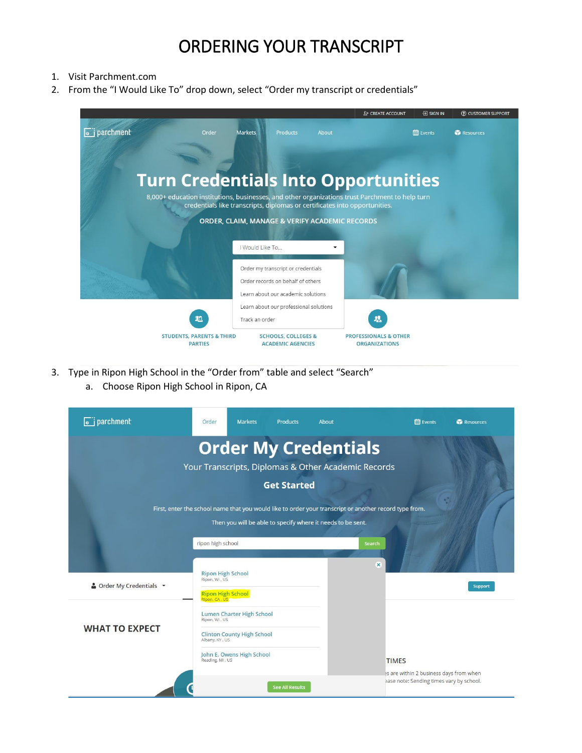- 1. Visit Parchment.com
- 2. From the "I Would Like To" drop down, select "Order my transcript or credentials"



- 3. Type in Ripon High School in the "Order from" table and select "Search"
	- a. Choose Ripon High School in Ripon, CA

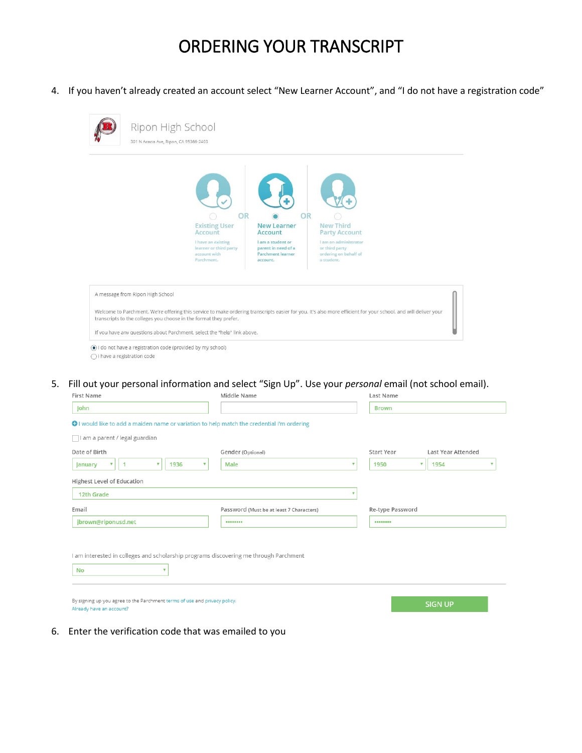4. If you haven't already created an account select "New Learner Account", and "I do not have a registration code"



- $\bigcirc$  I have a registration code
- 5. Fill out your personal information and select "Sign Up". Use your *personal* email (not school email).

| First Name                                                                                              | Middle Name                              | Last Name                        |  |
|---------------------------------------------------------------------------------------------------------|------------------------------------------|----------------------------------|--|
| John                                                                                                    |                                          | <b>Brown</b>                     |  |
| O I would like to add a maiden name or variation to help match the credential I'm ordering              |                                          |                                  |  |
| I am a parent / legal guardian                                                                          |                                          |                                  |  |
| Date of Birth                                                                                           | Gender (Optional)                        | Start Year<br>Last Year Attended |  |
| $\boldsymbol{\mathrm{v}}$<br>1936<br>1<br>v<br><b>January</b>                                           | Male<br>v                                | 1950<br>v<br>1954<br>v           |  |
| Highest Level of Education                                                                              |                                          |                                  |  |
| 12th Grade                                                                                              | v                                        |                                  |  |
| Email                                                                                                   | Password (Must be at least 7 Characters) | Re-type Password                 |  |
| jbrown@riponusd.net                                                                                     |                                          |                                  |  |
| I am interested in colleges and scholarship programs discovering me through Parchment<br>۷<br><b>No</b> |                                          |                                  |  |
| By signing up you agree to the Parchment terms of use and privacy policy.<br>Already have an account?   |                                          | <b>SIGN UP</b>                   |  |

6. Enter the verification code that was emailed to you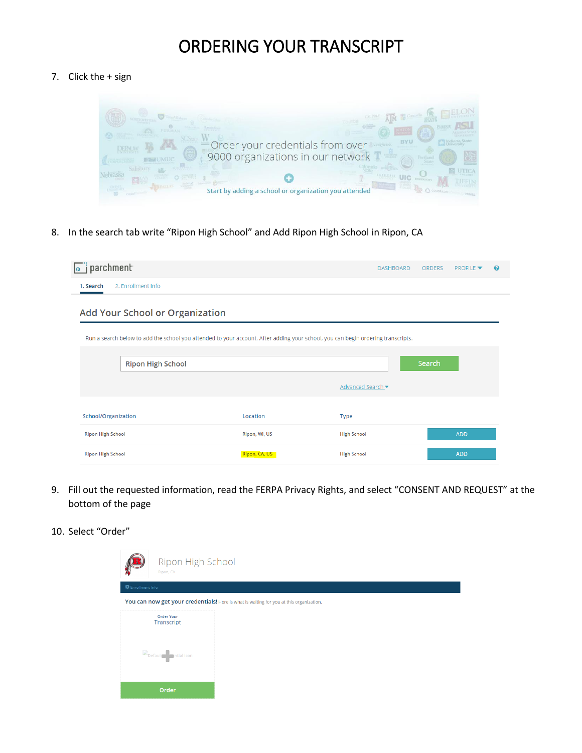#### 7. Click the + sign



8. In the search tab write "Ripon High School" and Add Ripon High School in Ripon, CA

| $\overline{\bullet}$ j parchment                                                                                                                                    |               | <b>DASHBOARD</b>   | <b>ORDERS</b> | <b>PROFILE</b> | ℯ |
|---------------------------------------------------------------------------------------------------------------------------------------------------------------------|---------------|--------------------|---------------|----------------|---|
| 2. Enrollment Info<br>1. Search                                                                                                                                     |               |                    |               |                |   |
| Add Your School or Organization<br>Run a search below to add the school you attended to your account. After adding your school, you can begin ordering transcripts. |               |                    |               |                |   |
| <b>Ripon High School</b>                                                                                                                                            |               |                    | Search        |                |   |
|                                                                                                                                                                     |               | Advanced Search    |               |                |   |
| School/Organization                                                                                                                                                 | Location      | <b>Type</b>        |               |                |   |
| <b>Ripon High School</b>                                                                                                                                            | Ripon, WI, US | <b>High School</b> |               | <b>ADD</b>     |   |
| <b>Ripon High School</b>                                                                                                                                            | Ripon, CA, US | <b>High School</b> |               | <b>ADD</b>     |   |

- 9. Fill out the requested information, read the FERPA Privacy Rights, and select "CONSENT AND REQUEST" at the bottom of the page
- 10. Select "Order"

| Ripon High School<br>Ripon, CA                                                          |  |  |
|-----------------------------------------------------------------------------------------|--|--|
| <b>卷</b> Enrollment Info                                                                |  |  |
| You can now get your credentials! Here is what is waiting for you at this organization. |  |  |
| <b>Order Your</b><br>Transcript                                                         |  |  |
| Default Initial icon                                                                    |  |  |
| Order                                                                                   |  |  |